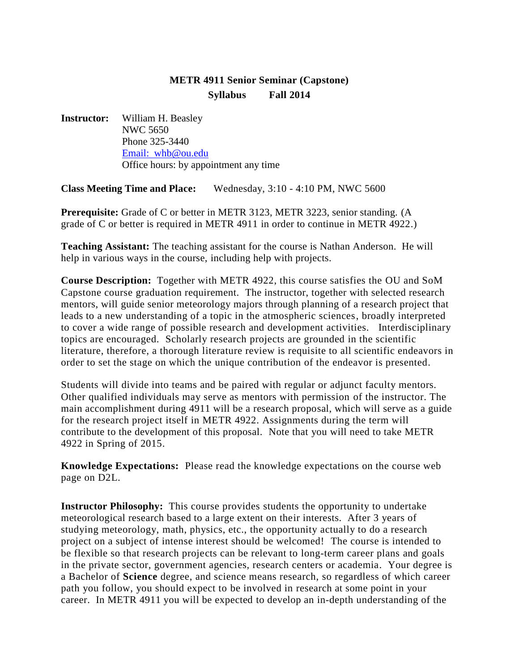## **METR 4911 Senior Seminar (Capstone) Syllabus Fall 2014**

**Instructor:** William H. Beasley NWC 5650 Phone 325-3440 [Email: whb@ou.edu](mailto:dparsons@ou.edu) Office hours: by appointment any time

**Class Meeting Time and Place:** Wednesday, 3:10 - 4:10 PM, NWC 5600

**Prerequisite:** Grade of C or better in METR 3123, METR 3223, senior standing. (A grade of C or better is required in METR 4911 in order to continue in METR 4922.)

**Teaching Assistant:** The teaching assistant for the course is Nathan Anderson. He will help in various ways in the course, including help with projects.

**Course Description:** Together with METR 4922, this course satisfies the OU and SoM Capstone course graduation requirement. The instructor, together with selected research mentors, will guide senior meteorology majors through planning of a research project that leads to a new understanding of a topic in the atmospheric sciences, broadly interpreted to cover a wide range of possible research and development activities. Interdisciplinary topics are encouraged. Scholarly research projects are grounded in the scientific literature, therefore, a thorough literature review is requisite to all scientific endeavors in order to set the stage on which the unique contribution of the endeavor is presented.

Students will divide into teams and be paired with regular or adjunct faculty mentors. Other qualified individuals may serve as mentors with permission of the instructor. The main accomplishment during 4911 will be a research proposal, which will serve as a guide for the research project itself in METR 4922. Assignments during the term will contribute to the development of this proposal. Note that you will need to take METR 4922 in Spring of 2015.

**Knowledge Expectations:** Please read the knowledge expectations on the course web page on D2L.

**Instructor Philosophy:** This course provides students the opportunity to undertake meteorological research based to a large extent on their interests. After 3 years of studying meteorology, math, physics, etc., the opportunity actually to do a research project on a subject of intense interest should be welcomed! The course is intended to be flexible so that research projects can be relevant to long-term career plans and goals in the private sector, government agencies, research centers or academia. Your degree is a Bachelor of **Science** degree, and science means research, so regardless of which career path you follow, you should expect to be involved in research at some point in your career. In METR 4911 you will be expected to develop an in-depth understanding of the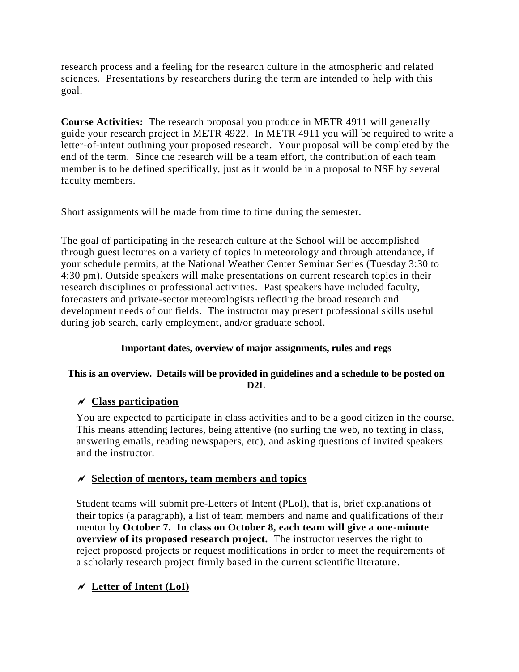research process and a feeling for the research culture in the atmospheric and related sciences. Presentations by researchers during the term are intended to help with this goal.

**Course Activities:** The research proposal you produce in METR 4911 will generally guide your research project in METR 4922. In METR 4911 you will be required to write a letter-of-intent outlining your proposed research. Your proposal will be completed by the end of the term. Since the research will be a team effort, the contribution of each team member is to be defined specifically, just as it would be in a proposal to NSF by several faculty members.

Short assignments will be made from time to time during the semester.

The goal of participating in the research culture at the School will be accomplished through guest lectures on a variety of topics in meteorology and through attendance, if your schedule permits, at the National Weather Center Seminar Series (Tuesday 3:30 to 4:30 pm). Outside speakers will make presentations on current research topics in their research disciplines or professional activities. Past speakers have included faculty, forecasters and private-sector meteorologists reflecting the broad research and development needs of our fields. The instructor may present professional skills useful during job search, early employment, and/or graduate school.

## **Important dates, overview of major assignments, rules and regs**

## **This is an overview. Details will be provided in guidelines and a schedule to be posted on D2L**

## **Class participation**

You are expected to participate in class activities and to be a good citizen in the course. This means attending lectures, being attentive (no surfing the web, no texting in class, answering emails, reading newspapers, etc), and asking questions of invited speakers and the instructor.

## **Selection of mentors, team members and topics**

Student teams will submit pre-Letters of Intent (PLoI), that is, brief explanations of their topics (a paragraph), a list of team members and name and qualifications of their mentor by **October 7. In class on October 8, each team will give a one-minute overview of its proposed research project.** The instructor reserves the right to reject proposed projects or request modifications in order to meet the requirements of a scholarly research project firmly based in the current scientific literature.

## **Letter of Intent (LoI)**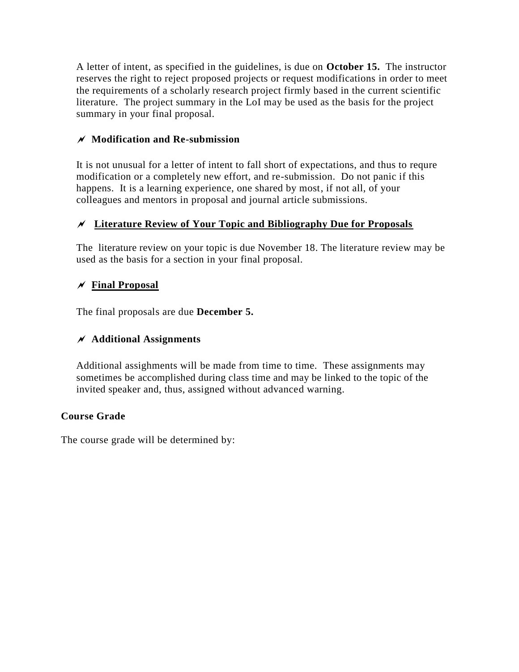A letter of intent, as specified in the guidelines, is due on **October 15.** The instructor reserves the right to reject proposed projects or request modifications in order to meet the requirements of a scholarly research project firmly based in the current scientific literature. The project summary in the LoI may be used as the basis for the project summary in your final proposal.

## **Modification and Re-submission**

It is not unusual for a letter of intent to fall short of expectations, and thus to requre modification or a completely new effort, and re-submission. Do not panic if this happens. It is a learning experience, one shared by most, if not all, of your colleagues and mentors in proposal and journal article submissions.

## **Literature Review of Your Topic and Bibliography Due for Proposals**

The literature review on your topic is due November 18. The literature review may be used as the basis for a section in your final proposal.

## $\chi$  Final Proposal

The final proposals are due **December 5.**

## **Additional Assignments**

Additional assighments will be made from time to time. These assignments may sometimes be accomplished during class time and may be linked to the topic of the invited speaker and, thus, assigned without advanced warning.

## **Course Grade**

The course grade will be determined by: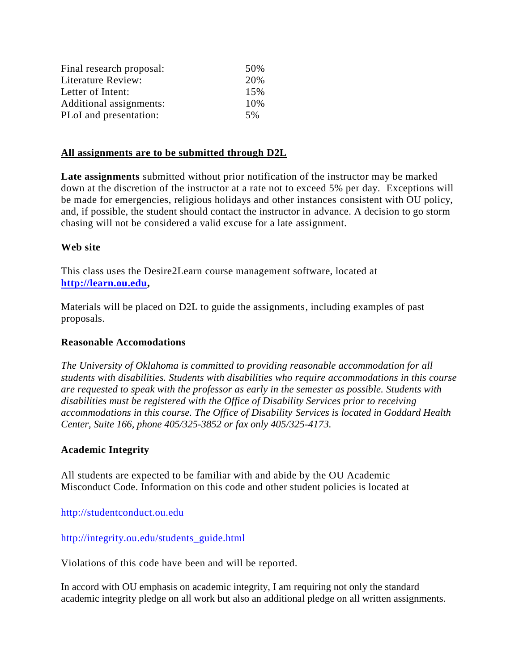| Final research proposal: | 50% |
|--------------------------|-----|
| Literature Review:       | 20% |
| Letter of Intent:        | 15% |
| Additional assignments:  | 10% |
| PLoI and presentation:   | 5%  |

### **All assignments are to be submitted through D2L**

**Late assignments** submitted without prior notification of the instructor may be marked down at the discretion of the instructor at a rate not to exceed 5% per day. Exceptions will be made for emergencies, religious holidays and other instances consistent with OU policy, and, if possible, the student should contact the instructor in advance. A decision to go storm chasing will not be considered a valid excuse for a late assignment.

### **Web site**

This class uses the Desire2Learn course management software, located at **[http://learn.ou.edu,](http://learn.ou.edu/)** 

Materials will be placed on D2L to guide the assignments, including examples of past proposals.

### **Reasonable Accomodations**

*The University of Oklahoma is committed to providing reasonable accommodation for all students with disabilities. Students with disabilities who require accommodations in this course are requested to speak with the professor as early in the semester as possible. Students with disabilities must be registered with the Office of Disability Services prior to receiving accommodations in this course. The Office of Disability Services is located in Goddard Health Center, Suite 166, phone 405/325-3852 or fax only 405/325-4173.*

### **Academic Integrity**

All students are expected to be familiar with and abide by the OU Academic Misconduct Code. Information on this code and other student policies is located at

[http://studentconduct.ou.edu](http://studentconduct.ou.edu.violators/)

### [http://integrity.ou.edu/students\\_guide.html](http://integrity.ou.edu/students_guide.html)

Violations of this code have been and will be reported.

In accord with OU emphasis on academic integrity, I am requiring not only the standard academic integrity pledge on all work but also an additional pledge on all written assignments.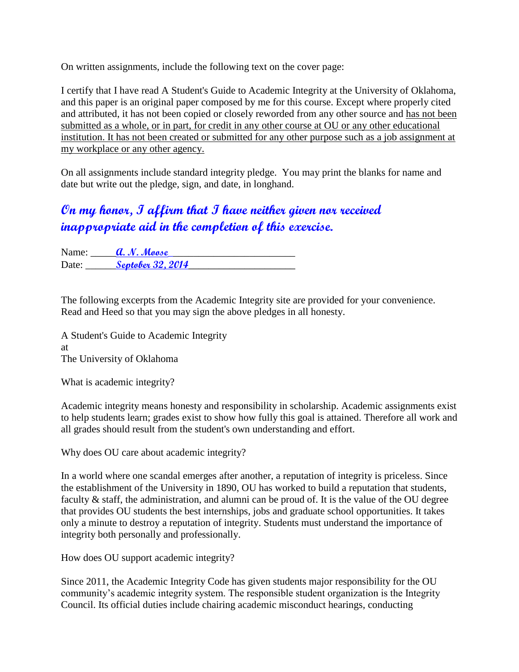On written assignments, include the following text on the cover page:

I certify that I have read A Student's Guide to Academic Integrity at the University of Oklahoma, and this paper is an original paper composed by me for this course. Except where properly cited and attributed, it has not been copied or closely reworded from any other source and has not been submitted as a whole, or in part, for credit in any other course at OU or any other educational institution. It has not been created or submitted for any other purpose such as a job assignment at my workplace or any other agency.

On all assignments include standard integrity pledge. You may print the blanks for name and date but write out the pledge, sign, and date, in longhand.

# **On my honor, I affirm that I have neither given nor received inappropriate aid in the completion of this exercise.**

Name: **a. N. Moose** Date: Septober 32, 2014

The following excerpts from the Academic Integrity site are provided for your convenience. Read and Heed so that you may sign the above pledges in all honesty.

A Student's Guide to Academic Integrity at The University of Oklahoma

What is academic integrity?

Academic integrity means honesty and responsibility in scholarship. Academic assignments exist to help students learn; grades exist to show how fully this goal is attained. Therefore all work and all grades should result from the student's own understanding and effort.

Why does OU care about academic integrity?

In a world where one scandal emerges after another, a reputation of integrity is priceless. Since the establishment of the University in 1890, OU has worked to build a reputation that students, faculty & staff, the administration, and alumni can be proud of. It is the value of the OU degree that provides OU students the best internships, jobs and graduate school opportunities. It takes only a minute to destroy a reputation of integrity. Students must understand the importance of integrity both personally and professionally.

How does OU support academic integrity?

Since 2011, the Academic Integrity Code has given students major responsibility for the OU community's academic integrity system. The responsible student organization is the Integrity Council. Its official duties include chairing academic misconduct hearings, conducting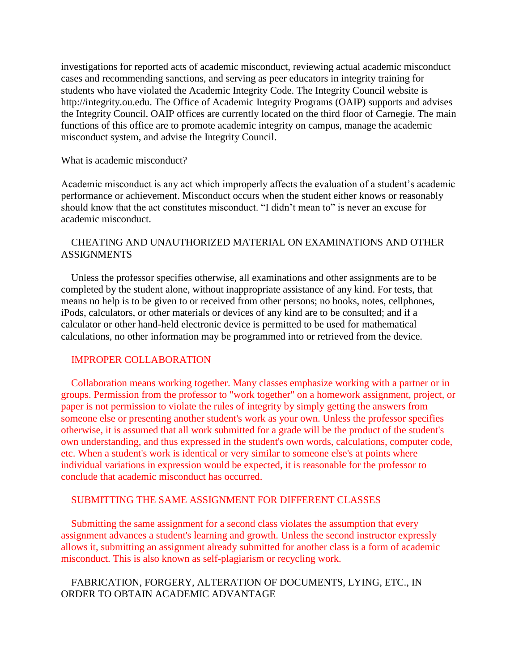investigations for reported acts of academic misconduct, reviewing actual academic misconduct cases and recommending sanctions, and serving as peer educators in integrity training for students who have violated the Academic Integrity Code. The Integrity Council website is http://integrity.ou.edu. The Office of Academic Integrity Programs (OAIP) supports and advises the Integrity Council. OAIP offices are currently located on the third floor of Carnegie. The main functions of this office are to promote academic integrity on campus, manage the academic misconduct system, and advise the Integrity Council.

#### What is academic misconduct?

Academic misconduct is any act which improperly affects the evaluation of a student's academic performance or achievement. Misconduct occurs when the student either knows or reasonably should know that the act constitutes misconduct. "I didn't mean to" is never an excuse for academic misconduct.

### CHEATING AND UNAUTHORIZED MATERIAL ON EXAMINATIONS AND OTHER ASSIGNMENTS

 Unless the professor specifies otherwise, all examinations and other assignments are to be completed by the student alone, without inappropriate assistance of any kind. For tests, that means no help is to be given to or received from other persons; no books, notes, cellphones, iPods, calculators, or other materials or devices of any kind are to be consulted; and if a calculator or other hand-held electronic device is permitted to be used for mathematical calculations, no other information may be programmed into or retrieved from the device.

### IMPROPER COLLABORATION

 Collaboration means working together. Many classes emphasize working with a partner or in groups. Permission from the professor to "work together" on a homework assignment, project, or paper is not permission to violate the rules of integrity by simply getting the answers from someone else or presenting another student's work as your own. Unless the professor specifies otherwise, it is assumed that all work submitted for a grade will be the product of the student's own understanding, and thus expressed in the student's own words, calculations, computer code, etc. When a student's work is identical or very similar to someone else's at points where individual variations in expression would be expected, it is reasonable for the professor to conclude that academic misconduct has occurred.

### SUBMITTING THE SAME ASSIGNMENT FOR DIFFERENT CLASSES

 Submitting the same assignment for a second class violates the assumption that every assignment advances a student's learning and growth. Unless the second instructor expressly allows it, submitting an assignment already submitted for another class is a form of academic misconduct. This is also known as self-plagiarism or recycling work.

### FABRICATION, FORGERY, ALTERATION OF DOCUMENTS, LYING, ETC., IN ORDER TO OBTAIN ACADEMIC ADVANTAGE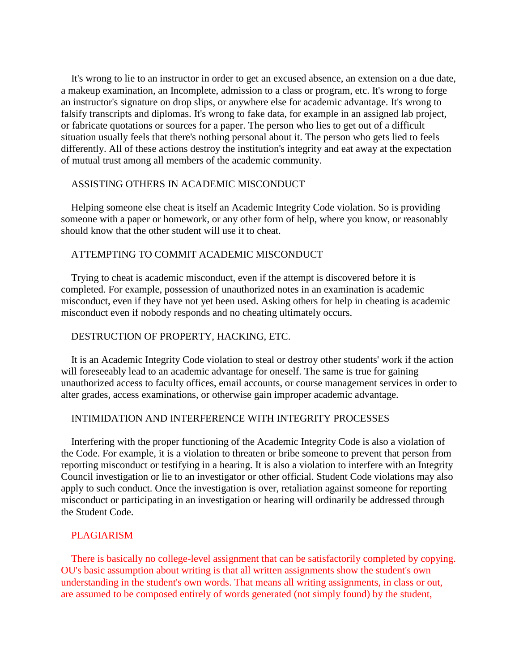It's wrong to lie to an instructor in order to get an excused absence, an extension on a due date, a makeup examination, an Incomplete, admission to a class or program, etc. It's wrong to forge an instructor's signature on drop slips, or anywhere else for academic advantage. It's wrong to falsify transcripts and diplomas. It's wrong to fake data, for example in an assigned lab project, or fabricate quotations or sources for a paper. The person who lies to get out of a difficult situation usually feels that there's nothing personal about it. The person who gets lied to feels differently. All of these actions destroy the institution's integrity and eat away at the expectation of mutual trust among all members of the academic community.

#### ASSISTING OTHERS IN ACADEMIC MISCONDUCT

 Helping someone else cheat is itself an Academic Integrity Code violation. So is providing someone with a paper or homework, or any other form of help, where you know, or reasonably should know that the other student will use it to cheat.

#### ATTEMPTING TO COMMIT ACADEMIC MISCONDUCT

 Trying to cheat is academic misconduct, even if the attempt is discovered before it is completed. For example, possession of unauthorized notes in an examination is academic misconduct, even if they have not yet been used. Asking others for help in cheating is academic misconduct even if nobody responds and no cheating ultimately occurs.

#### DESTRUCTION OF PROPERTY, HACKING, ETC.

 It is an Academic Integrity Code violation to steal or destroy other students' work if the action will foreseeably lead to an academic advantage for oneself. The same is true for gaining unauthorized access to faculty offices, email accounts, or course management services in order to alter grades, access examinations, or otherwise gain improper academic advantage.

#### INTIMIDATION AND INTERFERENCE WITH INTEGRITY PROCESSES

 Interfering with the proper functioning of the Academic Integrity Code is also a violation of the Code. For example, it is a violation to threaten or bribe someone to prevent that person from reporting misconduct or testifying in a hearing. It is also a violation to interfere with an Integrity Council investigation or lie to an investigator or other official. Student Code violations may also apply to such conduct. Once the investigation is over, retaliation against someone for reporting misconduct or participating in an investigation or hearing will ordinarily be addressed through the Student Code.

#### PLAGIARISM

 There is basically no college-level assignment that can be satisfactorily completed by copying. OU's basic assumption about writing is that all written assignments show the student's own understanding in the student's own words. That means all writing assignments, in class or out, are assumed to be composed entirely of words generated (not simply found) by the student,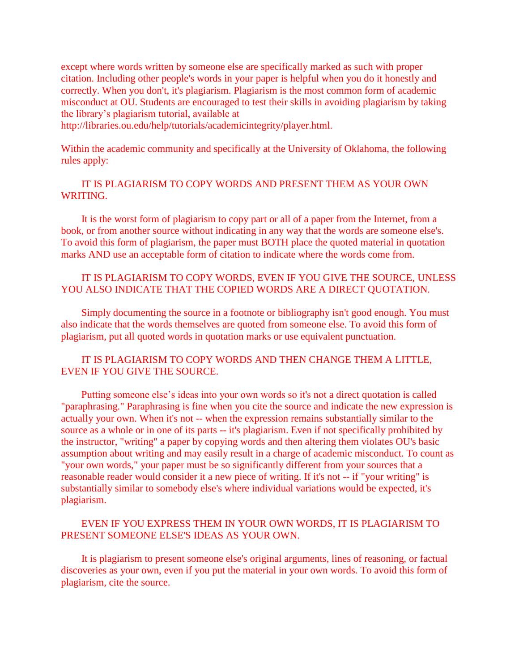except where words written by someone else are specifically marked as such with proper citation. Including other people's words in your paper is helpful when you do it honestly and correctly. When you don't, it's plagiarism. Plagiarism is the most common form of academic misconduct at OU. Students are encouraged to test their skills in avoiding plagiarism by taking the library's plagiarism tutorial, available at

http://libraries.ou.edu/help/tutorials/academicintegrity/player.html.

Within the academic community and specifically at the University of Oklahoma, the following rules apply:

## IT IS PLAGIARISM TO COPY WORDS AND PRESENT THEM AS YOUR OWN WRITING.

 It is the worst form of plagiarism to copy part or all of a paper from the Internet, from a book, or from another source without indicating in any way that the words are someone else's. To avoid this form of plagiarism, the paper must BOTH place the quoted material in quotation marks AND use an acceptable form of citation to indicate where the words come from.

## IT IS PLAGIARISM TO COPY WORDS, EVEN IF YOU GIVE THE SOURCE, UNLESS YOU ALSO INDICATE THAT THE COPIED WORDS ARE A DIRECT QUOTATION.

 Simply documenting the source in a footnote or bibliography isn't good enough. You must also indicate that the words themselves are quoted from someone else. To avoid this form of plagiarism, put all quoted words in quotation marks or use equivalent punctuation.

## IT IS PLAGIARISM TO COPY WORDS AND THEN CHANGE THEM A LITTLE, EVEN IF YOU GIVE THE SOURCE.

 Putting someone else's ideas into your own words so it's not a direct quotation is called "paraphrasing." Paraphrasing is fine when you cite the source and indicate the new expression is actually your own. When it's not -- when the expression remains substantially similar to the source as a whole or in one of its parts -- it's plagiarism. Even if not specifically prohibited by the instructor, "writing" a paper by copying words and then altering them violates OU's basic assumption about writing and may easily result in a charge of academic misconduct. To count as "your own words," your paper must be so significantly different from your sources that a reasonable reader would consider it a new piece of writing. If it's not -- if "your writing" is substantially similar to somebody else's where individual variations would be expected, it's plagiarism.

## EVEN IF YOU EXPRESS THEM IN YOUR OWN WORDS, IT IS PLAGIARISM TO PRESENT SOMEONE ELSE'S IDEAS AS YOUR OWN.

 It is plagiarism to present someone else's original arguments, lines of reasoning, or factual discoveries as your own, even if you put the material in your own words. To avoid this form of plagiarism, cite the source.